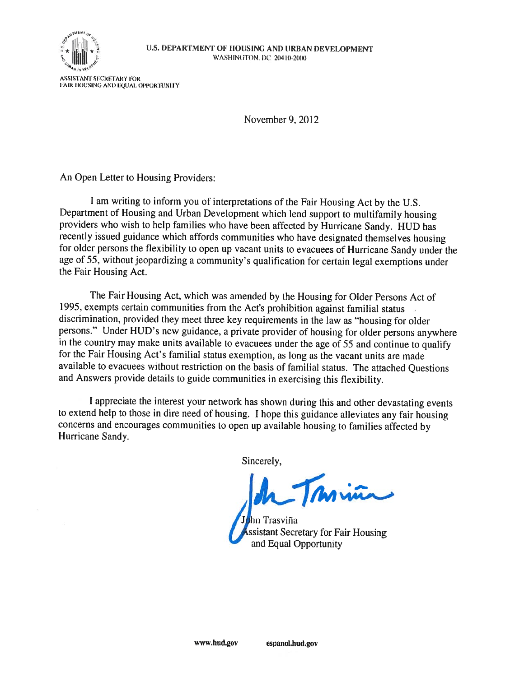

November 9, 2012

An Open Letter to Housing Providers:

I am writing to inform you of interpretations of the Fair Housing Act by the U.S. Department of Housing and Urban Development which lend support to multifamily housing providers who wish to help families who have been affected by Hurricane Sandy. HUD has recently issued guidance which affords communities who have designated themselves housing for older persons the flexibility to open up vacant units to evacuees of Hurricane Sandy under the age of 55, without jeopardizing a community's qualification for certain legal exemptions under the Fair Housing Act.

The Fair Housing Act, which was amended by the Housing for Older Persons Act of 1995, exempts certain communities from the Act's prohibition against familial status discrimination, provided they meet three key requirements in the law as "housing for older persons." Under HUD's new guidance, a private provider of housing for older persons anywhere in the country may make units available to evacuees under the age of 55 and continue to qualify for the Fair Housing Act's familial status exemption, as long as the vacant units are made available to evacuees without restriction on the basis of familial status. The attached Questions and Answers provide details to guide communities in exercising this flexibility.

I appreciate the interest your network has shown during this and other devastating events to extend help to those in dire need of housing. I hope this guidance alleviates any fair housing concerns and encourages communities to open up available housing to families affected by Hurricane Sandy.

Sincerely,

Miña

and Equal Opportunity nn Trasviña ssistant Secretary for Fair Housing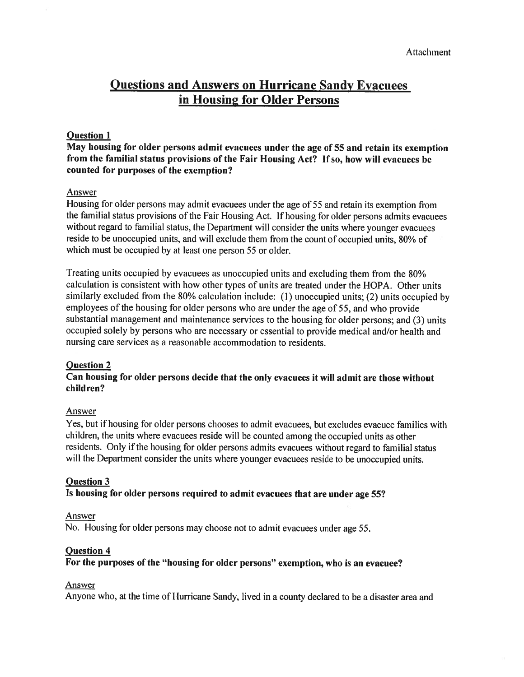# **Questions and Answers on Hurricane Sandy Evacuees in Housing for Older Persons**

# **Question l**

**May housing for older persons admit evacuees under the age of 55 and retain its exemption from the familial status provisions of the Fair Housing Act? If so, how will evacuees be counted for purposes of the exemption?** 

# Answer

Housing for older persons may admit evacuees under the age of 55 and retain its exemption from the familial status provisions of the Fair Housing Act. If housing for older persons admits evacuees without regard to familial status, the Department will consider the units where younger evacuees reside to be unoccupied units, and will exclude them from the count of occupied units, **80%** of which must be occupied by at least one person 55 or older.

Treating units occupied by evacuees as unoccupied units and excluding them from the 80% calculation is consistent with how other types of units are treated under the HOPA. Other units similarly excluded from the 80% calculation include: (1) unoccupied units; (2) units occupied by employees of the housing for older persons who are under the age of 55, and who provide substantial management and maintenance services to the housing for older persons; and (3) units occupied solely by persons who are necessary or essential to provide medical and/or health and nursing care services as a reasonable accommodation to residents.

### **Question 2**

# **Can housing for older persons decide that the only evacuees it will admit are those without children?**

### Answer

Yes, but if housing for older persons chooses to admit evacuees, but excludes evacuee families with children, the units where evacuees reside will be counted among the occupied units as other residents. Only if the housing for older persons admits evacuees without regard to familial status will the Department consider the units where younger evacuees reside to be unoccupied units.

### **Question 3**

# **Is housing for older persons required to admit evacuees that are under age 55?**

#### Answer

No. Housing for older persons may choose not to admit evacuees under age 55.

### **Question 4**

# **For the purposes of the "housing for older persons" exemption, who is an evacuee?**

#### Answer

Anyone who, at the time of Hurricane Sandy, lived in a county declared to be a disaster area and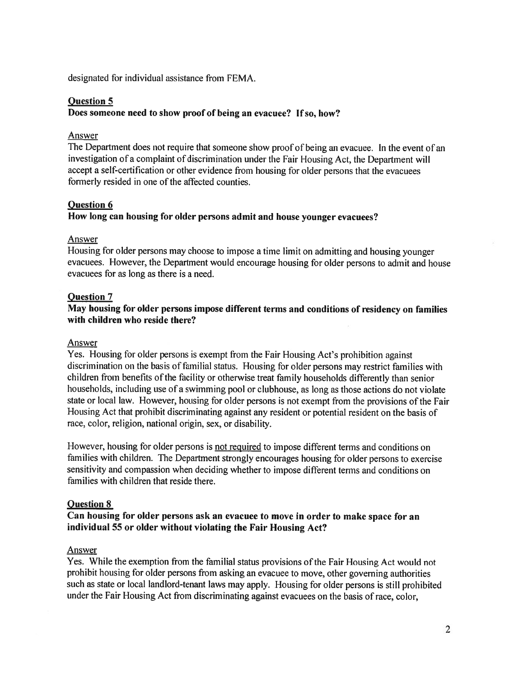designated for individual assistance from FEMA.

# **Question 5**

### **Does someone need to show proof of being an evacuee? If so, how?**

### Answer

The Department does not require that someone show proof of being an evacuee. In the event of an investigation of a complaint of discrimination under the Fair Housing Act, the Department will accept a self-certification or other evidence from housing for older persons that the evacuees formerly resided in one of the affected counties.

### **Question 6**

# **How long can housing for older persons admit and house younger evacuees?**

### Answer

Housing for older persons may choose to impose a time limit on admitting and housing younger evacuees. However, the Department would encourage housing for older persons to admit and house evacuees for as long as there is a need.

### **Question 7**

# **May housing for older persons impose different terms and conditions of residency on families with children who reside there?**

#### Answer

Yes. Housing for older persons is exempt from the Fair Housing Act's prohibition against discrimination on the basis of familial status. Housing for older persons may restrict families with children from benefits of the facility or otherwise treat family households differently than senior households, including use of a swimming pool or clubhouse, as long as those actions do not violate state or local law. However, housing for older persons is not exempt from the provisions of the Fair Housing Act that prohibit discriminating against any resident or potential resident on the basis of race, color, religion, national origin, sex, or disability.

However, housing for older persons is not required to impose different terms and conditions on families with children. The Department strongly encourages housing for older persons to exercise sensitivity and compassion when deciding whether to impose different terms and conditions on families with children that reside there.

#### **Question 8**

# **Can housing for older persons ask an evacuee to move in order to make space for an individual 55 or older without violating the Fair Housing Act?**

#### Answer

Yes. While the exemption from the familial status provisions of the Fair Housing Act would not prohibit housing for older persons from asking an evacuee to move, other governing authorities such as state or local landlord-tenant laws may apply. Housing for older persons is still prohibited under the Fair Housing Act from discriminating against evacuees on the basis of race, color,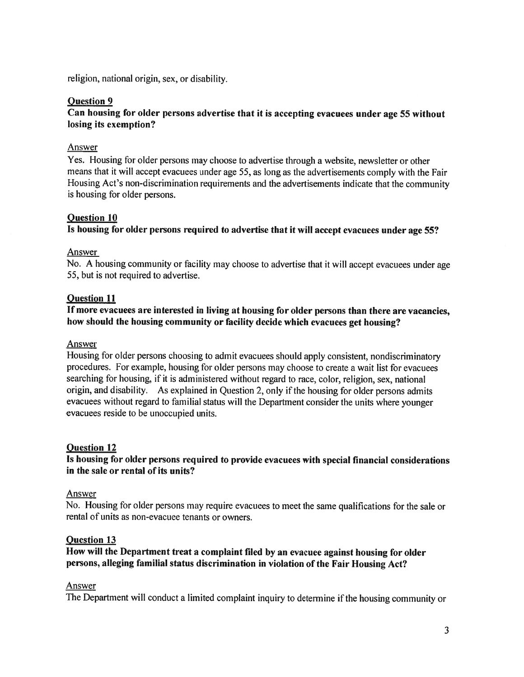religion, national origin, sex, or disability.

# **Question 9**

# **Can housing for older persons advertise that it is accepting evacuees under age 55 without losing its exemption?**

# Answer

Yes. Housing for older persons may choose to advertise through a website, newsletter or other means that it will accept evacuees under age 55, as long as the advertisements comply with the Fair Housing Act's non-discrimination requirements and the advertisements indicate that the community is housing for older persons.

# **Question 10**

**Is housing for older persons required to advertise that it will accept evacuees under age 55?** 

### Answer

No. A housing community or facility may choose to advertise that it will accept evacuees under age 55, but is not required to advertise.

# **Question 11**

# **If more evacuees are interested in living at housing for older persons than there are vacancies, how should the housing community or facility decide which evacuees get housing?**

### Answer

Housing for older persons choosing to admit evacuees should apply consistent, nondiscriminatory procedures. For example, housing for older persons may choose to create a wait list for evacuees searching for housing, if it is administered without regard to race, color, religion, sex, national origin, and disability. As explained in Question 2, only if the housing for older persons admits evacuees without regard to familial status will the Department consider the units where younger evacuees reside to be unoccupied units.

### **Question 12**

# **Is housing for older persons required to provide evacuees with special financial considerations in the sale or rental of its units?**

### Answer

No. Housing for older persons may require evacuees to meet the same qualifications for the sale or rental of units as non-evacuee tenants or owners.

### **Question 13**

# **How will the Department treat a complaint filed by an evacuee against housing for older persons, alleging familial status discrimination in violation of the Fair Housing Act?**

### Answer

The Department will conduct a limited complaint inquiry to determine if the housing community or